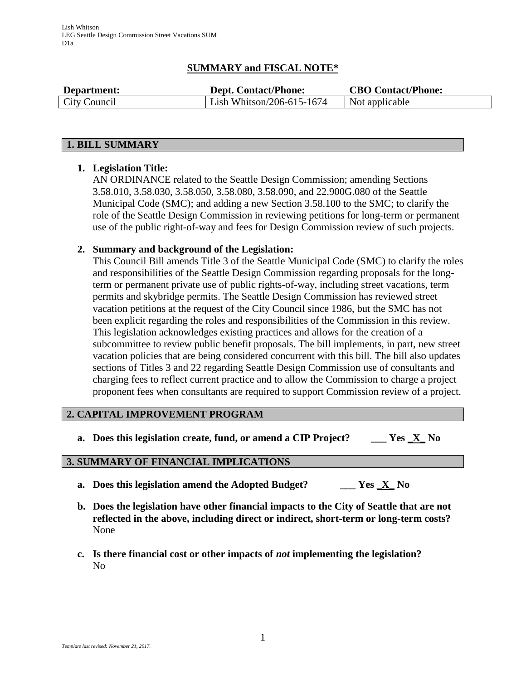# **SUMMARY and FISCAL NOTE\***

| Department:  | <b>Dept. Contact/Phone:</b> | <b>CBO Contact/Phone:</b> |
|--------------|-----------------------------|---------------------------|
| City Council | Lish Whitson/206-615-1674   | Not applicable            |

### **1. BILL SUMMARY**

## **1. Legislation Title:**

AN ORDINANCE related to the Seattle Design Commission; amending Sections 3.58.010, 3.58.030, 3.58.050, 3.58.080, 3.58.090, and 22.900G.080 of the Seattle Municipal Code (SMC); and adding a new Section 3.58.100 to the SMC; to clarify the role of the Seattle Design Commission in reviewing petitions for long-term or permanent use of the public right-of-way and fees for Design Commission review of such projects.

### **2. Summary and background of the Legislation:**

This Council Bill amends Title 3 of the Seattle Municipal Code (SMC) to clarify the roles and responsibilities of the Seattle Design Commission regarding proposals for the longterm or permanent private use of public rights-of-way, including street vacations, term permits and skybridge permits. The Seattle Design Commission has reviewed street vacation petitions at the request of the City Council since 1986, but the SMC has not been explicit regarding the roles and responsibilities of the Commission in this review. This legislation acknowledges existing practices and allows for the creation of a subcommittee to review public benefit proposals. The bill implements, in part, new street vacation policies that are being considered concurrent with this bill. The bill also updates sections of Titles 3 and 22 regarding Seattle Design Commission use of consultants and charging fees to reflect current practice and to allow the Commission to charge a project proponent fees when consultants are required to support Commission review of a project.

### **2. CAPITAL IMPROVEMENT PROGRAM**

**a. Does this legislation create, fund, or amend a CIP Project? \_\_\_ Yes \_X\_ No**

### **3. SUMMARY OF FINANCIAL IMPLICATIONS**

- **a. Does this legislation amend the Adopted Budget? \_\_\_ Yes \_X\_ No**
- **b. Does the legislation have other financial impacts to the City of Seattle that are not reflected in the above, including direct or indirect, short-term or long-term costs?** None
- **c. Is there financial cost or other impacts of** *not* **implementing the legislation?** No